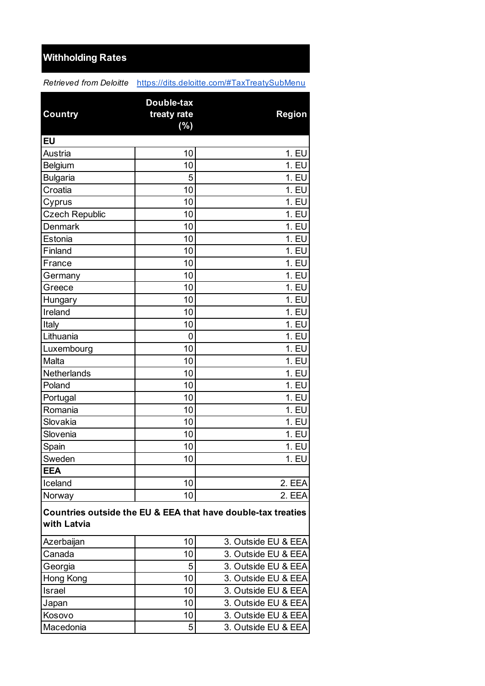## **Withholding Rates**

*Retrieved from Deloitte* https://dits.deloitte.com/#TaxTreatySubMenu

|                                                                             | Double-tax  |                     |  |
|-----------------------------------------------------------------------------|-------------|---------------------|--|
| <b>Country</b>                                                              | treaty rate | <b>Region</b>       |  |
|                                                                             | (%)         |                     |  |
| <b>EU</b>                                                                   |             |                     |  |
| Austria                                                                     | 10          | 1. EU               |  |
| Belgium                                                                     | 10          | 1. EU               |  |
| <b>Bulgaria</b>                                                             | 5           | 1. EU               |  |
| Croatia                                                                     | 10          | 1. EU               |  |
| Cyprus                                                                      | 10          | 1. EU               |  |
| <b>Czech Republic</b>                                                       | 10          | 1. EU               |  |
| Denmark                                                                     | 10          | 1. EU               |  |
| Estonia                                                                     | 10          | 1. EU               |  |
| Finland                                                                     | 10          | 1. EU               |  |
| France                                                                      | 10          | 1. EU               |  |
| Germany                                                                     | 10          | 1. EU               |  |
| Greece                                                                      | 10          | 1. EU               |  |
| Hungary                                                                     | 10          | 1. EU               |  |
| Ireland                                                                     | 10          | 1. EU               |  |
| Italy                                                                       | 10          | 1. EU               |  |
| Lithuania                                                                   | 0           | 1. EU               |  |
| Luxembourg                                                                  | 10          | 1. EU               |  |
| Malta                                                                       | 10          | 1. EU               |  |
| Netherlands                                                                 | 10          | 1. EU               |  |
| Poland                                                                      | 10          | 1. EU               |  |
| Portugal                                                                    | 10          | 1. EU               |  |
| Romania                                                                     | 10          | 1. EU               |  |
| Slovakia                                                                    | 10          | 1. EU               |  |
| Slovenia                                                                    | 10          | 1. EU               |  |
| Spain                                                                       | 10          | 1. EU               |  |
| Sweden                                                                      | 10          | 1. EU               |  |
| <b>EEA</b>                                                                  |             |                     |  |
| Iceland                                                                     | 10          | 2. EEA              |  |
| Norway                                                                      | 10          | 2. EEA              |  |
| Countries outside the EU & EEA that have double-tax treaties<br>with Latvia |             |                     |  |
| Azerbaijan                                                                  | 10          | 3. Outside EU & EEA |  |
| Canada                                                                      | 10          | 3. Outside EU & EEA |  |
| Georgia                                                                     | 5           | 3. Outside EU & EEA |  |
| Hong Kong                                                                   | 10          | 3. Outside EU & EEA |  |
| Israel                                                                      | 10          | 3. Outside EU & EEA |  |
| Japan                                                                       | 10          | 3. Outside EU & EEA |  |
| Kosovo                                                                      | 10          | 3. Outside EU & EEA |  |
| Macedonia                                                                   | 5           | 3. Outside EU & EEA |  |